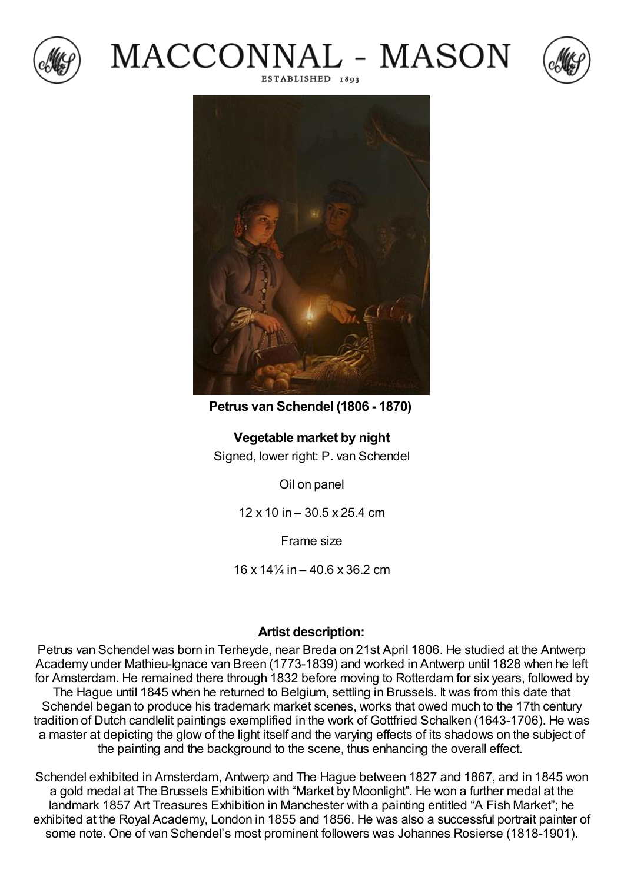







**Petrus van Schendel (1806 - 1870)**

**Vegetable market by night** Signed, lower right: P. van Schendel

Oil on panel

12 x 10 in – 30.5 x 25.4 cm

Frame size

 $16 \times 14\frac{1}{4}$  in  $-40.6 \times 36.2$  cm

## **Artist description:**

Petrus van Schendel was born in Terheyde, near Breda on 21st April 1806. He studied at the Antwerp Academy under Mathieu-Ignace van Breen (1773-1839) and worked in Antwerp until 1828 when he left for Amsterdam. He remained there through 1832 before moving to Rotterdam for six years, followed by The Hague until 1845 when he returned to Belgium, settling in Brussels. It was from this date that Schendel began to produce his trademark market scenes, works that owed much to the 17th century tradition of Dutch candlelit paintings exemplified in the work of Gottfried Schalken (1643-1706). He was a master at depicting the glow of the light itself and the varying effects of its shadows on the subject of the painting and the background to the scene, thus enhancing the overall effect.

Schendel exhibited in Amsterdam, Antwerp and The Hague between 1827 and 1867, and in 1845 won a gold medal at The Brussels Exhibition with "Market by Moonlight". He won a further medal at the landmark 1857 Art Treasures Exhibition in Manchester with a painting entitled "A Fish Market"; he exhibited at the Royal Academy, London in 1855 and 1856. He was also a successful portrait painter of some note. One of van Schendel's most prominent followers was Johannes Rosierse (1818-1901).